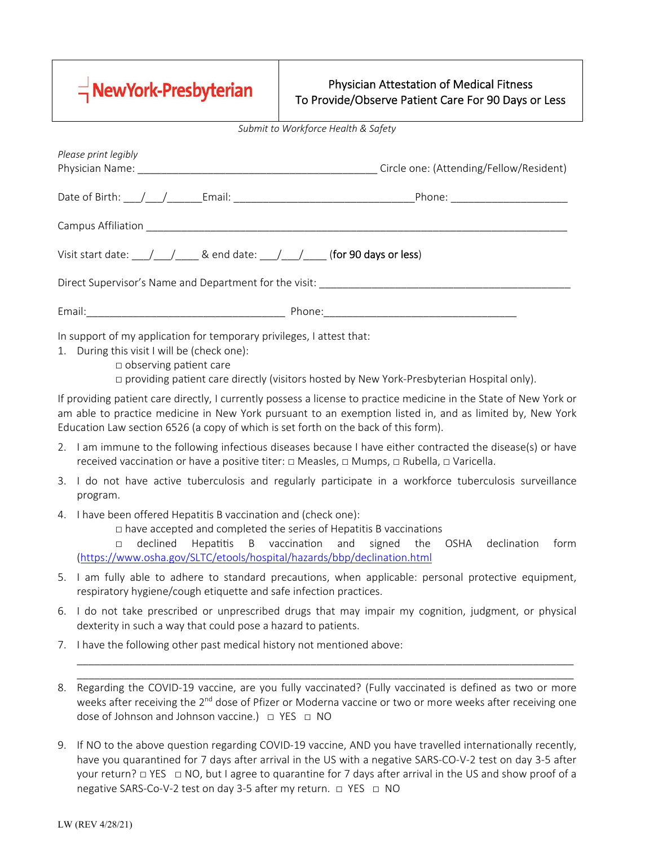

## Physician Attestation of Medical Fitness To Provide/Observe Patient Care For 90 Days or Less

*Submit to Workforce Health & Safety* 

|    | Please print legibly                                                                                                                                                                                                                                    |                                                                                                                                                                                                                                |  |  |  |
|----|---------------------------------------------------------------------------------------------------------------------------------------------------------------------------------------------------------------------------------------------------------|--------------------------------------------------------------------------------------------------------------------------------------------------------------------------------------------------------------------------------|--|--|--|
|    |                                                                                                                                                                                                                                                         |                                                                                                                                                                                                                                |  |  |  |
|    |                                                                                                                                                                                                                                                         |                                                                                                                                                                                                                                |  |  |  |
|    | Visit start date: $\sqrt{\frac{1}{2}}$ & end date: $\frac{1}{2}$ (for 90 days or less)                                                                                                                                                                  |                                                                                                                                                                                                                                |  |  |  |
|    |                                                                                                                                                                                                                                                         |                                                                                                                                                                                                                                |  |  |  |
|    |                                                                                                                                                                                                                                                         | Email: 2008. [2010] Phone: 2008. [2010] Phone: 2010. [2010] Phone: 2010. [2010] Phone: 2010. [2010] Phone: 2010. [2010] Phone: 2010. [2010] Phone: 2010. [2010] Phone: 2010. [2010] Phone: 2010. [2010] Phone: 2010. [2010] Ph |  |  |  |
|    | In support of my application for temporary privileges, I attest that:<br>1. During this visit I will be (check one):<br>$\Box$ observing patient care                                                                                                   | $\Box$ providing patient care directly (visitors hosted by New York-Presbyterian Hospital only).                                                                                                                               |  |  |  |
|    | Education Law section 6526 (a copy of which is set forth on the back of this form).                                                                                                                                                                     | If providing patient care directly, I currently possess a license to practice medicine in the State of New York or<br>am able to practice medicine in New York pursuant to an exemption listed in, and as limited by, New York |  |  |  |
|    | 2. I am immune to the following infectious diseases because I have either contracted the disease(s) or have<br>received vaccination or have a positive titer: $\Box$ Measles, $\Box$ Mumps, $\Box$ Rubella, $\Box$ Varicella.                           |                                                                                                                                                                                                                                |  |  |  |
| 3. | program.                                                                                                                                                                                                                                                | I do not have active tuberculosis and regularly participate in a workforce tuberculosis surveillance                                                                                                                           |  |  |  |
| 4. | I have been offered Hepatitis B vaccination and (check one):<br>$\Box$ have accepted and completed the series of Hepatitis B vaccinations<br>declined<br>Hepatitis<br>$\Box$<br>(https://www.osha.gov/SLTC/etools/hospital/hazards/bbp/declination.html | B vaccination and<br>signed the<br>OSHA declination<br>form                                                                                                                                                                    |  |  |  |
| 5. | respiratory hygiene/cough etiquette and safe infection practices.                                                                                                                                                                                       | I am fully able to adhere to standard precautions, when applicable: personal protective equipment,                                                                                                                             |  |  |  |
| 6. | dexterity in such a way that could pose a hazard to patients.                                                                                                                                                                                           | I do not take prescribed or unprescribed drugs that may impair my cognition, judgment, or physical                                                                                                                             |  |  |  |
| 7. | I have the following other past medical history not mentioned above:                                                                                                                                                                                    |                                                                                                                                                                                                                                |  |  |  |
| 8. | dose of Johnson and Johnson vaccine.) □ YES □ NO                                                                                                                                                                                                        | Regarding the COVID-19 vaccine, are you fully vaccinated? (Fully vaccinated is defined as two or more<br>weeks after receiving the 2 <sup>nd</sup> dose of Pfizer or Moderna vaccine or two or more weeks after receiving one  |  |  |  |
|    |                                                                                                                                                                                                                                                         | If NO to the above question regarding COVID-19 vaccine AND vou have travelled internationally recently                                                                                                                         |  |  |  |

If NO to the above question regarding COVID-19 vaccine, AND you have travelled internationally recently, have you quarantined for 7 days after arrival in the US with a negative SARS‐CO‐V‐2 test on day 3‐5 after your return? □ YES □ NO, but I agree to quarantine for 7 days after arrival in the US and show proof of a negative SARS-Co-V-2 test on day 3-5 after my return. □ YES □ NO